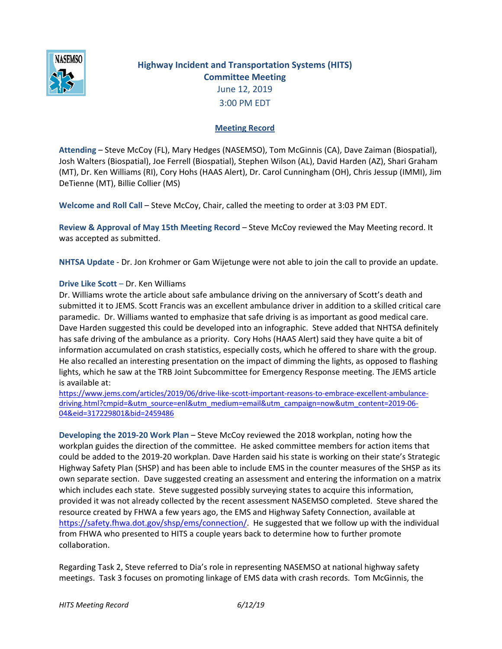

## **Highway Incident and Transportation Systems (HITS) Committee Meeting** June 12, 2019 3:00 PM EDT

## **Meeting Record**

**Attending** – Steve McCoy (FL), Mary Hedges (NASEMSO), Tom McGinnis (CA), Dave Zaiman (Biospatial), Josh Walters (Biospatial), Joe Ferrell (Biospatial), Stephen Wilson (AL), David Harden (AZ), Shari Graham (MT), Dr. Ken Williams (RI), Cory Hohs (HAAS Alert), Dr. Carol Cunningham (OH), Chris Jessup (IMMI), Jim DeTienne (MT), Billie Collier (MS)

**Welcome and Roll Call** – Steve McCoy, Chair, called the meeting to order at 3:03 PM EDT.

**Review & Approval of May 15th Meeting Record** – Steve McCoy reviewed the May Meeting record. It was accepted as submitted.

**NHTSA Update** - Dr. Jon Krohmer or Gam Wijetunge were not able to join the call to provide an update.

## **Drive Like Scott** – Dr. Ken Williams

Dr. Williams wrote the article about safe ambulance driving on the anniversary of Scott's death and submitted it to JEMS. Scott Francis was an excellent ambulance driver in addition to a skilled critical care paramedic. Dr. Williams wanted to emphasize that safe driving is as important as good medical care. Dave Harden suggested this could be developed into an infographic. Steve added that NHTSA definitely has safe driving of the ambulance as a priority. Cory Hohs (HAAS Alert) said they have quite a bit of information accumulated on crash statistics, especially costs, which he offered to share with the group. He also recalled an interesting presentation on the impact of dimming the lights, as opposed to flashing lights, which he saw at the TRB Joint Subcommittee for Emergency Response meeting. The JEMS article is available at:

[https://www.jems.com/articles/2019/06/drive-like-scott-important-reasons-to-embrace-excellent-ambulance](https://www.jems.com/articles/2019/06/drive-like-scott-important-reasons-to-embrace-excellent-ambulance-driving.html?cmpid=&utm_source=enl&utm_medium=email&utm_campaign=now&utm_content=2019-06-04&eid=317229801&bid=2459486)[driving.html?cmpid=&utm\\_source=enl&utm\\_medium=email&utm\\_campaign=now&utm\\_content=2019-06-](https://www.jems.com/articles/2019/06/drive-like-scott-important-reasons-to-embrace-excellent-ambulance-driving.html?cmpid=&utm_source=enl&utm_medium=email&utm_campaign=now&utm_content=2019-06-04&eid=317229801&bid=2459486) [04&eid=317229801&bid=2459486](https://www.jems.com/articles/2019/06/drive-like-scott-important-reasons-to-embrace-excellent-ambulance-driving.html?cmpid=&utm_source=enl&utm_medium=email&utm_campaign=now&utm_content=2019-06-04&eid=317229801&bid=2459486)

**Developing the 2019-20 Work Plan** – Steve McCoy reviewed the 2018 workplan, noting how the workplan guides the direction of the committee. He asked committee members for action items that could be added to the 2019-20 workplan. Dave Harden said his state is working on their state's Strategic Highway Safety Plan (SHSP) and has been able to include EMS in the counter measures of the SHSP as its own separate section. Dave suggested creating an assessment and entering the information on a matrix which includes each state. Steve suggested possibly surveying states to acquire this information, provided it was not already collected by the recent assessment NASEMSO completed. Steve shared the resource created by FHWA a few years ago, the EMS and Highway Safety Connection, available at [https://safety.fhwa.dot.gov/shsp/ems/connection/.](https://safety.fhwa.dot.gov/shsp/ems/connection/) He suggested that we follow up with the individual from FHWA who presented to HITS a couple years back to determine how to further promote collaboration.

Regarding Task 2, Steve referred to Dia's role in representing NASEMSO at national highway safety meetings. Task 3 focuses on promoting linkage of EMS data with crash records. Tom McGinnis, the